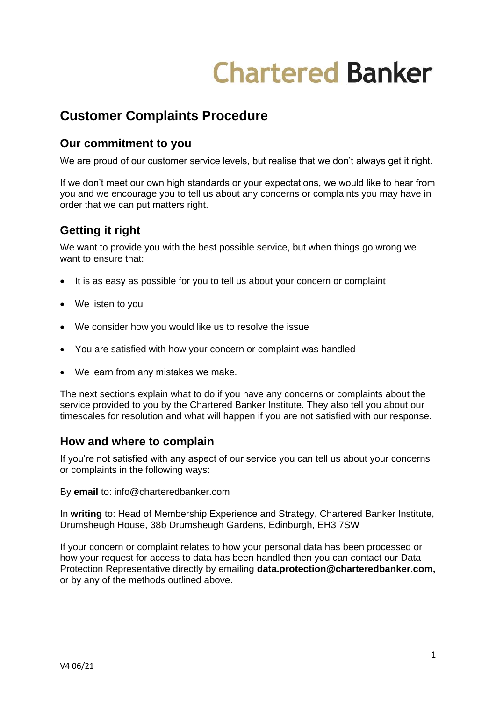# **Chartered Banker**

# **Customer Complaints Procedure**

# **Our commitment to you**

We are proud of our customer service levels, but realise that we don't always get it right.

If we don't meet our own high standards or your expectations, we would like to hear from you and we encourage you to tell us about any concerns or complaints you may have in order that we can put matters right.

# **Getting it right**

We want to provide you with the best possible service, but when things go wrong we want to ensure that:

- It is as easy as possible for you to tell us about your concern or complaint
- We listen to you
- We consider how you would like us to resolve the issue
- You are satisfied with how your concern or complaint was handled
- We learn from any mistakes we make.

The next sections explain what to do if you have any concerns or complaints about the service provided to you by the Chartered Banker Institute. They also tell you about our timescales for resolution and what will happen if you are not satisfied with our response.

# **How and where to complain**

If you're not satisfied with any aspect of our service you can tell us about your concerns or complaints in the following ways:

By **email** to: info@charteredbanker.com

In **writing** to: Head of Membership Experience and Strategy, Chartered Banker Institute, Drumsheugh House, 38b Drumsheugh Gardens, Edinburgh, EH3 7SW

If your concern or complaint relates to how your personal data has been processed or how your request for access to data has been handled then you can contact our Data Protection Representative directly by emailing **data.protection@charteredbanker.com,**  or by any of the methods outlined above.